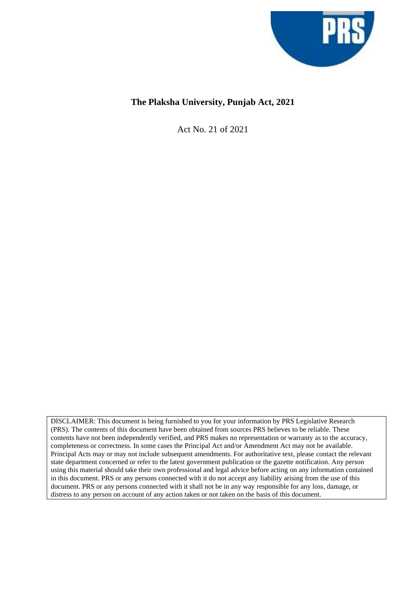

# **The Plaksha University, Punjab Act, 2021**

Act No. 21 of 2021

DISCLAIMER: This document is being furnished to you for your information by PRS Legislative Research (PRS). The contents of this document have been obtained from sources PRS believes to be reliable. These contents have not been independently verified, and PRS makes no representation or warranty as to the accuracy, completeness or correctness. In some cases the Principal Act and/or Amendment Act may not be available. Principal Acts may or may not include subsequent amendments. For authoritative text, please contact the relevant state department concerned or refer to the latest government publication or the gazette notification. Any person using this material should take their own professional and legal advice before acting on any information contained in this document. PRS or any persons connected with it do not accept any liability arising from the use of this document. PRS or any persons connected with it shall not be in any way responsible for any loss, damage, or distress to any person on account of any action taken or not taken on the basis of this document.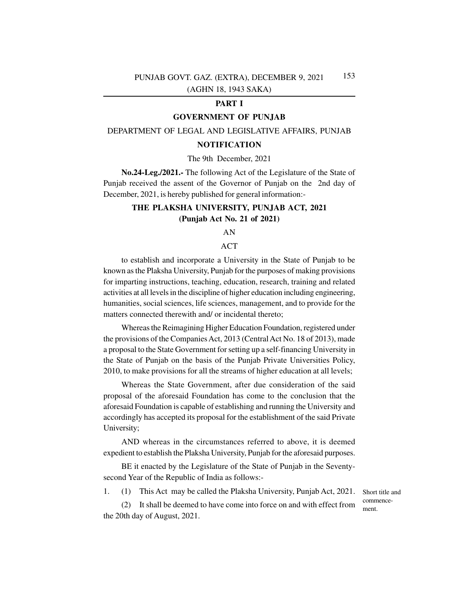## **PART I**

## **GOVERNMENT OF PUNJAB**

## DEPARTMENT OF LEGAL AND LEGISLATIVE AFFAIRS, PUNJAB

### **NOTIFICATION**

### The 9th December, 2021

**No.24-Leg./2021.-** The following Act of the Legislature of the State of Punjab received the assent of the Governor of Punjab on the 2nd day of December, 2021, is hereby published for general information:-

## **THE PLAKSHA UNIVERSITY, PUNJAB ACT, 2021 (Punjab Act No. 21 of 2021)**

### AN

## ACT

to establish and incorporate a University in the State of Punjab to be known as the Plaksha University, Punjab for the purposes of making provisions for imparting instructions, teaching, education, research, training and related activities at all levels in the discipline of higher education including engineering, humanities, social sciences, life sciences, management, and to provide for the matters connected therewith and/ or incidental thereto;

Whereas the Reimagining Higher Education Foundation, registered under the provisions of the Companies Act, 2013 (Central Act No. 18 of 2013), made a proposal to the State Government for setting up a self-financing University in the State of Punjab on the basis of the Punjab Private Universities Policy, 2010, to make provisions for all the streams of higher education at all levels;

Whereas the State Government, after due consideration of the said proposal of the aforesaid Foundation has come to the conclusion that the aforesaid Foundation is capable of establishing and running the University and accordingly has accepted its proposal for the establishment of the said Private University;

AND whereas in the circumstances referred to above, it is deemed expedient to establish the Plaksha University, Punjab for the aforesaid purposes.

BE it enacted by the Legislature of the State of Punjab in the Seventysecond Year of the Republic of India as follows:-

1. (1) This Act may be called the Plaksha University, Punjab Act, 2021.

Short title and commencement.

It shall be deemed to have come into force on and with effect from the 20th day of August, 2021.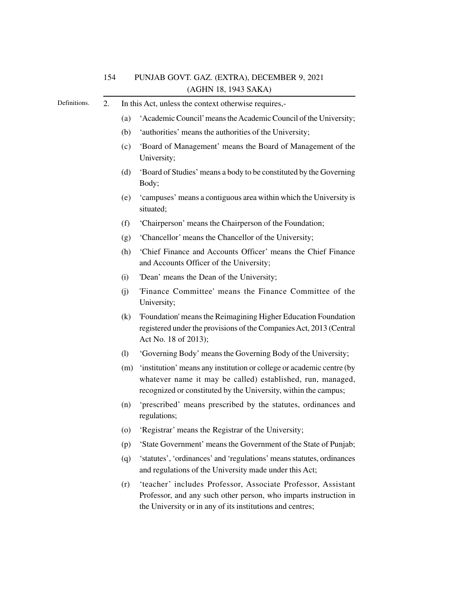| Definitions. | 2. | In this Act, unless the context otherwise requires,- |                                                                                                                                                                                                        |  |
|--------------|----|------------------------------------------------------|--------------------------------------------------------------------------------------------------------------------------------------------------------------------------------------------------------|--|
|              |    | (a)                                                  | 'Academic Council' means the Academic Council of the University;                                                                                                                                       |  |
|              |    | (b)                                                  | 'authorities' means the authorities of the University;                                                                                                                                                 |  |
|              |    | (c)                                                  | 'Board of Management' means the Board of Management of the<br>University;                                                                                                                              |  |
|              |    | (d)                                                  | 'Board of Studies' means a body to be constituted by the Governing<br>Body;                                                                                                                            |  |
|              |    | (e)                                                  | 'campuses' means a contiguous area within which the University is<br>situated;                                                                                                                         |  |
|              |    | (f)                                                  | 'Chairperson' means the Chairperson of the Foundation;                                                                                                                                                 |  |
|              |    | (g)                                                  | 'Chancellor' means the Chancellor of the University;                                                                                                                                                   |  |
|              |    | (h)                                                  | 'Chief Finance and Accounts Officer' means the Chief Finance<br>and Accounts Officer of the University;                                                                                                |  |
|              |    | (i)                                                  | 'Dean' means the Dean of the University;                                                                                                                                                               |  |
|              |    | (i)                                                  | 'Finance Committee' means the Finance Committee of the<br>University;                                                                                                                                  |  |
|              |    | (k)                                                  | 'Foundation' means the Reimagining Higher Education Foundation<br>registered under the provisions of the Companies Act, 2013 (Central<br>Act No. 18 of 2013);                                          |  |
|              |    | (1)                                                  | 'Governing Body' means the Governing Body of the University;                                                                                                                                           |  |
|              |    | (m)                                                  | 'institution' means any institution or college or academic centre (by<br>whatever name it may be called) established, run, managed,<br>recognized or constituted by the University, within the campus; |  |
|              |    | (n)                                                  | 'prescribed' means prescribed by the statutes, ordinances and<br>regulations;                                                                                                                          |  |
|              |    | (0)                                                  | 'Registrar' means the Registrar of the University;                                                                                                                                                     |  |
|              |    | (p)                                                  | 'State Government' means the Government of the State of Punjab;                                                                                                                                        |  |
|              |    | (q)                                                  | 'statutes', 'ordinances' and 'regulations' means statutes, ordinances                                                                                                                                  |  |

(r) 'teacher' includes Professor, Associate Professor, Assistant Professor, and any such other person, who imparts instruction in the University or in any of its institutions and centres;

and regulations of the University made under this Act;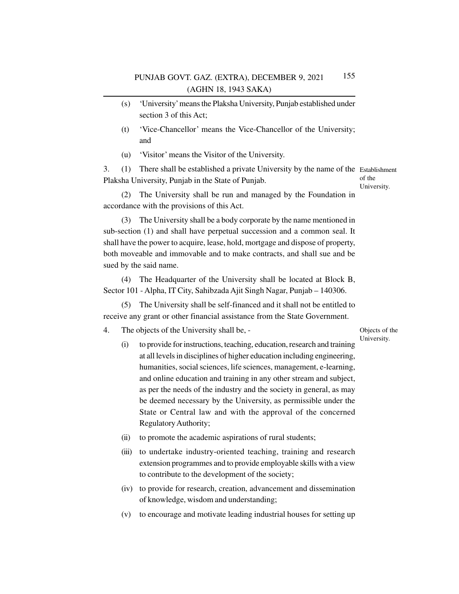- (s) 'University' means the Plaksha University, Punjab established under section 3 of this Act;
- (t) 'Vice-Chancellor' means the Vice-Chancellor of the University; and
- (u) 'Visitor' means the Visitor of the University.

3. (1) There shall be established a private University by the name of the Establishment Plaksha University, Punjab in the State of Punjab. of the

University.

(2) The University shall be run and managed by the Foundation in accordance with the provisions of this Act.

(3) The University shall be a body corporate by the name mentioned in sub-section (1) and shall have perpetual succession and a common seal. It shall have the power to acquire, lease, hold, mortgage and dispose of property, both moveable and immovable and to make contracts, and shall sue and be sued by the said name.

(4) The Headquarter of the University shall be located at Block B, Sector 101 - Alpha, IT City, Sahibzada Ajit Singh Nagar, Punjab – 140306.

(5) The University shall be self-financed and it shall not be entitled to receive any grant or other financial assistance from the State Government.

4. The objects of the University shall be, -

#### Objects of the University.

- (i) to provide for instructions, teaching, education, research and training at all levels in disciplines of higher education including engineering, humanities, social sciences, life sciences, management, e-learning, and online education and training in any other stream and subject, as per the needs of the industry and the society in general, as may be deemed necessary by the University, as permissible under the State or Central law and with the approval of the concerned Regulatory Authority;
- (ii) to promote the academic aspirations of rural students;
- (iii) to undertake industry-oriented teaching, training and research extension programmes and to provide employable skills with a view to contribute to the development of the society;
- (iv) to provide for research, creation, advancement and dissemination of knowledge, wisdom and understanding;
- (v) to encourage and motivate leading industrial houses for setting up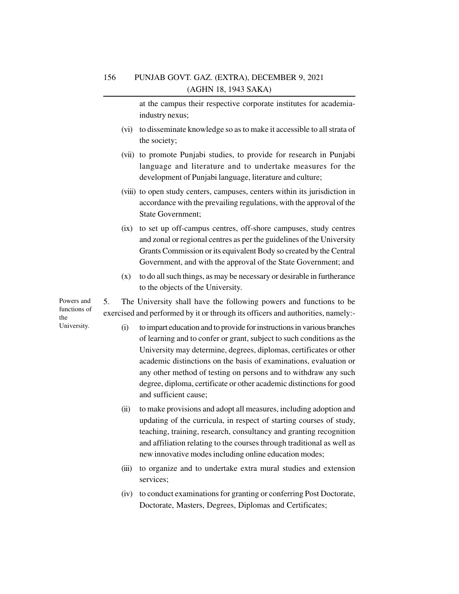at the campus their respective corporate institutes for academiaindustry nexus;

- (vi) to disseminate knowledge so as to make it accessible to all strata of the society;
- (vii) to promote Punjabi studies, to provide for research in Punjabi language and literature and to undertake measures for the development of Punjabi language, literature and culture;
- (viii) to open study centers, campuses, centers within its jurisdiction in accordance with the prevailing regulations, with the approval of the State Government;
- (ix) to set up off-campus centres, off-shore campuses, study centres and zonal or regional centres as per the guidelines of the University Grants Commission or its equivalent Body so created by the Central Government, and with the approval of the State Government; and
- (x) to do all such things, as may be necessary or desirable in furtherance to the objects of the University.

5. The University shall have the following powers and functions to be exercised and performed by it or through its officers and authorities, namely:-

- (i) to impart education and to provide for instructions in various branches of learning and to confer or grant, subject to such conditions as the University may determine, degrees, diplomas, certificates or other academic distinctions on the basis of examinations, evaluation or any other method of testing on persons and to withdraw any such degree, diploma, certificate or other academic distinctions for good and sufficient cause;
- (ii) to make provisions and adopt all measures, including adoption and updating of the curricula, in respect of starting courses of study, teaching, training, research, consultancy and granting recognition and affiliation relating to the courses through traditional as well as new innovative modes including online education modes;
- (iii) to organize and to undertake extra mural studies and extension services;
- (iv) to conduct examinations for granting or conferring Post Doctorate, Doctorate, Masters, Degrees, Diplomas and Certificates;

Powers and functions of the University.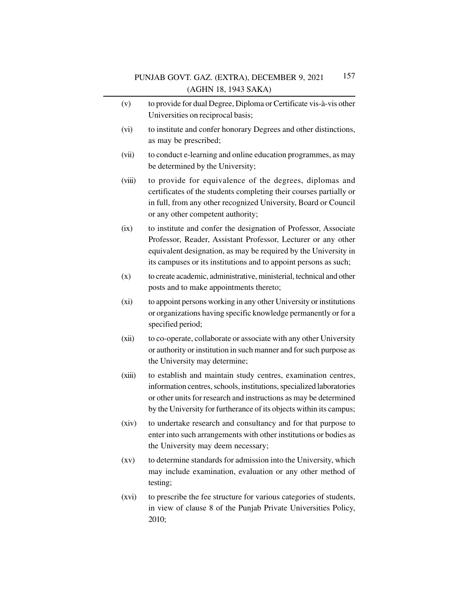- (v) to provide for dual Degree, Diploma or Certificate vis-à-vis other Universities on reciprocal basis;
- (vi) to institute and confer honorary Degrees and other distinctions, as may be prescribed;
- (vii) to conduct e-learning and online education programmes, as may be determined by the University;
- (viii) to provide for equivalence of the degrees, diplomas and certificates of the students completing their courses partially or in full, from any other recognized University, Board or Council or any other competent authority;
- (ix) to institute and confer the designation of Professor, Associate Professor, Reader, Assistant Professor, Lecturer or any other equivalent designation, as may be required by the University in its campuses or its institutions and to appoint persons as such;
- (x) to create academic, administrative, ministerial, technical and other posts and to make appointments thereto;
- (xi) to appoint persons working in any other University or institutions or organizations having specific knowledge permanently or for a specified period;
- (xii) to co-operate, collaborate or associate with any other University or authority or institution in such manner and for such purpose as the University may determine;
- (xiii) to establish and maintain study centres, examination centres, information centres, schools, institutions, specialized laboratories or other units for research and instructions as may be determined by the University for furtherance of its objects within its campus;
- (xiv) to undertake research and consultancy and for that purpose to enter into such arrangements with other institutions or bodies as the University may deem necessary;
- (xv) to determine standards for admission into the University, which may include examination, evaluation or any other method of testing;
- (xvi) to prescribe the fee structure for various categories of students, in view of clause 8 of the Punjab Private Universities Policy, 2010;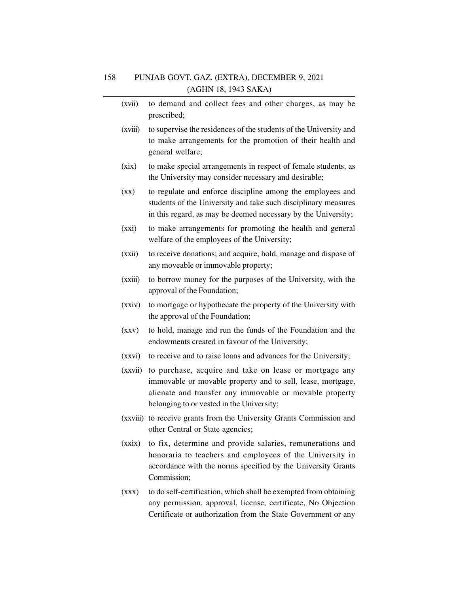| (xvii)                   | to demand and collect fees and other charges, as may be<br>prescribed;                                                                                                                                                        |
|--------------------------|-------------------------------------------------------------------------------------------------------------------------------------------------------------------------------------------------------------------------------|
| (xviii)                  | to supervise the residences of the students of the University and<br>to make arrangements for the promotion of their health and<br>general welfare;                                                                           |
| (xix)                    | to make special arrangements in respect of female students, as<br>the University may consider necessary and desirable;                                                                                                        |
| $(\mathbf{X}\mathbf{X})$ | to regulate and enforce discipline among the employees and<br>students of the University and take such disciplinary measures<br>in this regard, as may be deemed necessary by the University;                                 |
| (xxi)                    | to make arrangements for promoting the health and general<br>welfare of the employees of the University;                                                                                                                      |
| (xxii)                   | to receive donations; and acquire, hold, manage and dispose of<br>any moveable or immovable property;                                                                                                                         |
| (xxiii)                  | to borrow money for the purposes of the University, with the<br>approval of the Foundation;                                                                                                                                   |
| (xxiv)                   | to mortgage or hypothecate the property of the University with<br>the approval of the Foundation;                                                                                                                             |
| (xxy)                    | to hold, manage and run the funds of the Foundation and the<br>endowments created in favour of the University;                                                                                                                |
| (xxvi)                   | to receive and to raise loans and advances for the University;                                                                                                                                                                |
| (xxvii)                  | to purchase, acquire and take on lease or mortgage any<br>immovable or movable property and to sell, lease, mortgage,<br>alienate and transfer any immovable or movable property<br>belonging to or vested in the University; |
| (xxviii)                 | to receive grants from the University Grants Commission and<br>other Central or State agencies;                                                                                                                               |
| (xxix)                   | to fix, determine and provide salaries, remunerations and<br>honoraria to teachers and employees of the University in<br>accordance with the norms specified by the University Grants<br>Commission;                          |
|                          |                                                                                                                                                                                                                               |

(xxx) to do self-certification, which shall be exempted from obtaining any permission, approval, license, certificate, No Objection Certificate or authorization from the State Government or any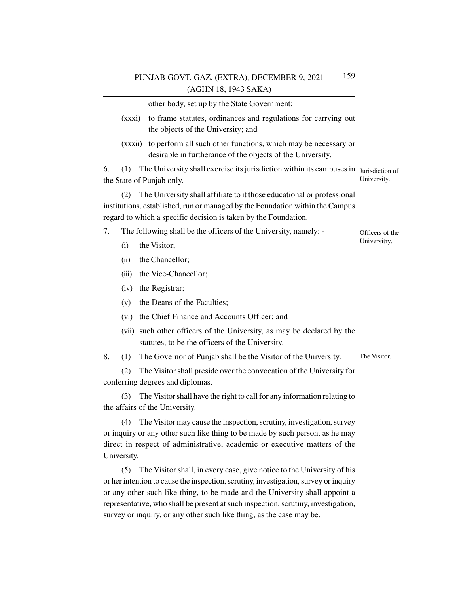other body, set up by the State Government;

- (xxxi) to frame statutes, ordinances and regulations for carrying out the objects of the University; and
- (xxxii) to perform all such other functions, which may be necessary or desirable in furtherance of the objects of the University.

6. (1) The University shall exercise its jurisdiction within its campuses in Jurisdiction of University. the State of Punjab only.

> Officers of the Universitry.

(2) The University shall affiliate to it those educational or professional institutions, established, run or managed by the Foundation within the Campus regard to which a specific decision is taken by the Foundation.

- 7. The following shall be the officers of the University, namely:
	- (i) the Visitor;
	- (ii) the Chancellor;
	- (iii) the Vice-Chancellor;
	- (iv) the Registrar;
	- (v) the Deans of the Faculties;
	- (vi) the Chief Finance and Accounts Officer; and
	- (vii) such other officers of the University, as may be declared by the statutes, to be the officers of the University.

8. (1) The Governor of Punjab shall be the Visitor of the University. The Visitor.

(2) The Visitor shall preside over the convocation of the University for conferring degrees and diplomas.

(3) The Visitor shall have the right to call for any information relating to the affairs of the University.

(4) The Visitor may cause the inspection, scrutiny, investigation, survey or inquiry or any other such like thing to be made by such person, as he may direct in respect of administrative, academic or executive matters of the University.

(5) The Visitor shall, in every case, give notice to the University of his or her intention to cause the inspection, scrutiny, investigation, survey or inquiry or any other such like thing, to be made and the University shall appoint a representative, who shall be present at such inspection, scrutiny, investigation, survey or inquiry, or any other such like thing, as the case may be.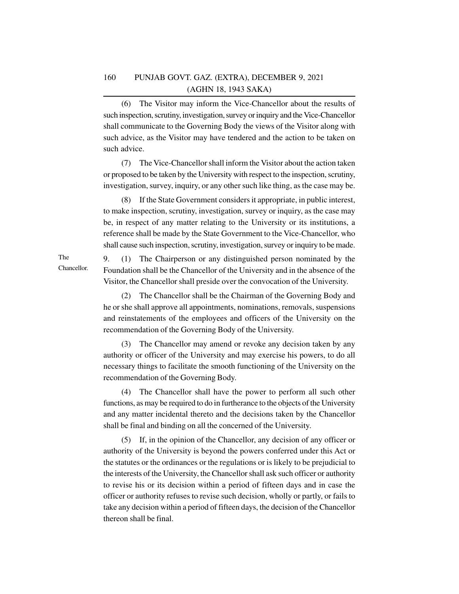(6) The Visitor may inform the Vice-Chancellor about the results of such inspection, scrutiny, investigation, survey or inquiry and the Vice-Chancellor shall communicate to the Governing Body the views of the Visitor along with such advice, as the Visitor may have tendered and the action to be taken on such advice.

(7) The Vice-Chancellor shall inform the Visitor about the action taken or proposed to be taken by the University with respect to the inspection, scrutiny, investigation, survey, inquiry, or any other such like thing, as the case may be.

(8) If the State Government considers it appropriate, in public interest, to make inspection, scrutiny, investigation, survey or inquiry, as the case may be, in respect of any matter relating to the University or its institutions, a reference shall be made by the State Government to the Vice-Chancellor, who shall cause such inspection, scrutiny, investigation, survey or inquiry to be made.

9. (1) The Chairperson or any distinguished person nominated by the Foundation shall be the Chancellor of the University and in the absence of the Visitor, the Chancellor shall preside over the convocation of the University.

(2) The Chancellor shall be the Chairman of the Governing Body and he or she shall approve all appointments, nominations, removals, suspensions and reinstatements of the employees and officers of the University on the recommendation of the Governing Body of the University.

(3) The Chancellor may amend or revoke any decision taken by any authority or officer of the University and may exercise his powers, to do all necessary things to facilitate the smooth functioning of the University on the recommendation of the Governing Body.

(4) The Chancellor shall have the power to perform all such other functions, as may be required to do in furtherance to the objects of the University and any matter incidental thereto and the decisions taken by the Chancellor shall be final and binding on all the concerned of the University.

(5) If, in the opinion of the Chancellor, any decision of any officer or authority of the University is beyond the powers conferred under this Act or the statutes or the ordinances or the regulations or is likely to be prejudicial to the interests of the University, the Chancellor shall ask such officer or authority to revise his or its decision within a period of fifteen days and in case the officer or authority refuses to revise such decision, wholly or partly, or fails to take any decision within a period of fifteen days, the decision of the Chancellor thereon shall be final.

The Chancellor.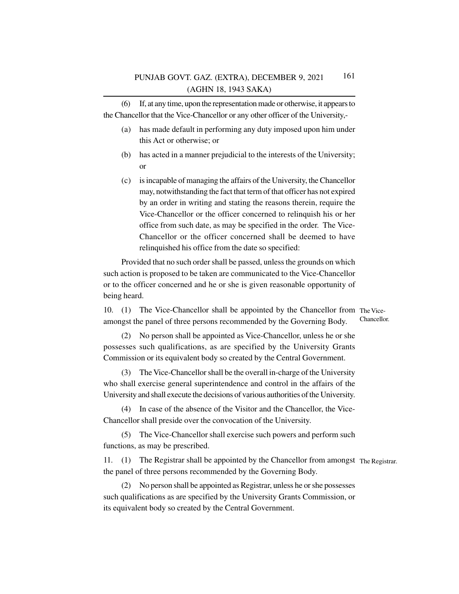(6) If, at any time, upon the representation made or otherwise, it appears to the Chancellor that the Vice-Chancellor or any other officer of the University,-

- (a) has made default in performing any duty imposed upon him under this Act or otherwise; or
- (b) has acted in a manner prejudicial to the interests of the University; or
- (c) is incapable of managing the affairs of the University, the Chancellor may, notwithstanding the fact that term of that officer has not expired by an order in writing and stating the reasons therein, require the Vice-Chancellor or the officer concerned to relinquish his or her office from such date, as may be specified in the order. The Vice-Chancellor or the officer concerned shall be deemed to have relinquished his office from the date so specified:

Provided that no such order shall be passed, unless the grounds on which such action is proposed to be taken are communicated to the Vice-Chancellor or to the officer concerned and he or she is given reasonable opportunity of being heard.

10. (1) The Vice-Chancellor shall be appointed by the Chancellor from The Viceamongst the panel of three persons recommended by the Governing Body. Chancellor.

(2) No person shall be appointed as Vice-Chancellor, unless he or she possesses such qualifications, as are specified by the University Grants Commission or its equivalent body so created by the Central Government.

(3) The Vice-Chancellor shall be the overall in-charge of the University who shall exercise general superintendence and control in the affairs of the University and shall execute the decisions of various authorities of the University.

(4) In case of the absence of the Visitor and the Chancellor, the Vice-Chancellor shall preside over the convocation of the University.

(5) The Vice-Chancellor shall exercise such powers and perform such functions, as may be prescribed.

11. (1) The Registrar shall be appointed by the Chancellor from amongst The Registrar. the panel of three persons recommended by the Governing Body.

(2) No person shall be appointed as Registrar, unless he or she possesses such qualifications as are specified by the University Grants Commission, or its equivalent body so created by the Central Government.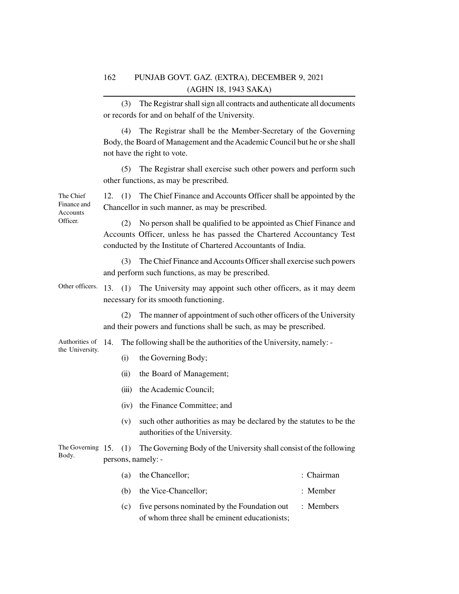(3) The Registrar shall sign all contracts and authenticate all documents or records for and on behalf of the University.

(4) The Registrar shall be the Member-Secretary of the Governing Body, the Board of Management and the Academic Council but he or she shall not have the right to vote.

(5) The Registrar shall exercise such other powers and perform such other functions, as may be prescribed.

12. (1) The Chief Finance and Accounts Officer shall be appointed by the Chancellor in such manner, as may be prescribed.

(2) No person shall be qualified to be appointed as Chief Finance and Accounts Officer, unless he has passed the Chartered Accountancy Test conducted by the Institute of Chartered Accountants of India.

(3) The Chief Finance and Accounts Officer shall exercise such powers and perform such functions, as may be prescribed.

Other officers. 13. (1) The University may appoint such other officers, as it may deem necessary for its smooth functioning.

> (2) The manner of appointment of such other officers of the University and their powers and functions shall be such, as may be prescribed.

The following shall be the authorities of the University, namely: -Authorities of 14. the University.

- (i) the Governing Body;
- (ii) the Board of Management;
- (iii) the Academic Council;
- (iv) the Finance Committee; and
- (v) such other authorities as may be declared by the statutes to be the authorities of the University.

#### The Governing 15. (1) The Governing Body of the University shall consist of the following persons, namely: - Body.

| (a) the Chancellor;                              | : Chairman  |
|--------------------------------------------------|-------------|
| (b) the Vice-Chancellor;                         | $:$ Member  |
| (c) five persons nominated by the Foundation out | $:$ Members |
| of whom three shall be eminent educationists;    |             |

The Chief Finance and Accounts Officer.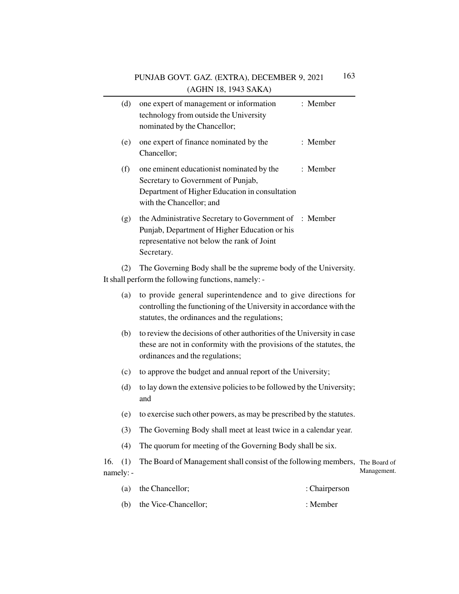|     |                  | $(1.0111, 10, 1)$ 15 S/1111/                                                                                                                                                           |             |
|-----|------------------|----------------------------------------------------------------------------------------------------------------------------------------------------------------------------------------|-------------|
|     | (d)              | one expert of management or information<br>: Member<br>technology from outside the University<br>nominated by the Chancellor;                                                          |             |
|     | (e)              | one expert of finance nominated by the<br>: Member<br>Chancellor;                                                                                                                      |             |
|     | (f)              | : Member<br>one eminent educationist nominated by the<br>Secretary to Government of Punjab,<br>Department of Higher Education in consultation<br>with the Chancellor; and              |             |
|     | (g)              | the Administrative Secretary to Government of : Member<br>Punjab, Department of Higher Education or his<br>representative not below the rank of Joint<br>Secretary.                    |             |
|     | (2)              | The Governing Body shall be the supreme body of the University.<br>It shall perform the following functions, namely: -                                                                 |             |
|     | (a)              | to provide general superintendence and to give directions for<br>controlling the functioning of the University in accordance with the<br>statutes, the ordinances and the regulations; |             |
|     | (b)              | to review the decisions of other authorities of the University in case<br>these are not in conformity with the provisions of the statutes, the<br>ordinances and the regulations;      |             |
|     | (c)              | to approve the budget and annual report of the University;                                                                                                                             |             |
|     | (d)              | to lay down the extensive policies to be followed by the University;<br>and                                                                                                            |             |
|     | (e)              | to exercise such other powers, as may be prescribed by the statutes.                                                                                                                   |             |
|     | (3)              | The Governing Body shall meet at least twice in a calendar year.                                                                                                                       |             |
|     | (4)              | The quorum for meeting of the Governing Body shall be six.                                                                                                                             |             |
| 16. | (1)<br>namely: - | The Board of Management shall consist of the following members, The Board of                                                                                                           | Management. |
|     | (a)              | the Chancellor;<br>: Chairperson                                                                                                                                                       |             |

(b) the Vice-Chancellor; : Member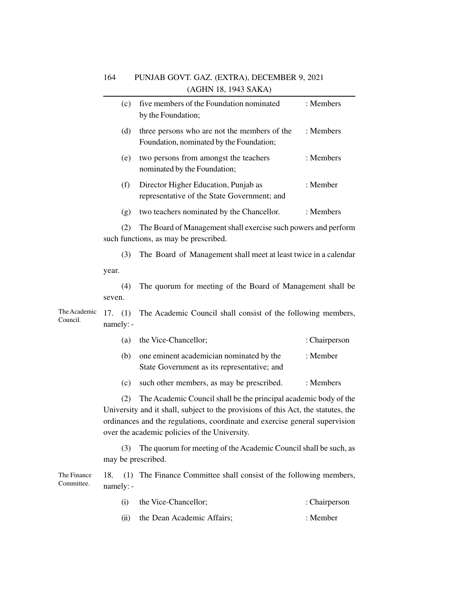|                           | (c)                     | five members of the Foundation nominated<br>by the Foundation;                                                                                                                                                                                                                        | : Members     |
|---------------------------|-------------------------|---------------------------------------------------------------------------------------------------------------------------------------------------------------------------------------------------------------------------------------------------------------------------------------|---------------|
|                           | (d)                     | three persons who are not the members of the<br>Foundation, nominated by the Foundation;                                                                                                                                                                                              | : Members     |
|                           | (e)                     | two persons from amongst the teachers<br>nominated by the Foundation;                                                                                                                                                                                                                 | : Members     |
|                           | (f)                     | Director Higher Education, Punjab as<br>representative of the State Government; and                                                                                                                                                                                                   | : Member      |
|                           | (g)                     | two teachers nominated by the Chancellor.                                                                                                                                                                                                                                             | : Members     |
|                           | (2)                     | The Board of Management shall exercise such powers and perform<br>such functions, as may be prescribed.                                                                                                                                                                               |               |
|                           | (3)                     | The Board of Management shall meet at least twice in a calendar                                                                                                                                                                                                                       |               |
|                           | year.                   |                                                                                                                                                                                                                                                                                       |               |
|                           | (4)<br>seven.           | The quorum for meeting of the Board of Management shall be                                                                                                                                                                                                                            |               |
| The Academic<br>Council.  | 17. $(1)$<br>namely: -  | The Academic Council shall consist of the following members,                                                                                                                                                                                                                          |               |
|                           | (a)                     | the Vice-Chancellor;                                                                                                                                                                                                                                                                  | : Chairperson |
|                           | (b)                     | one eminent academician nominated by the<br>State Government as its representative; and                                                                                                                                                                                               | : Member      |
|                           | (c)                     | such other members, as may be prescribed.                                                                                                                                                                                                                                             | : Members     |
|                           | (2)                     | The Academic Council shall be the principal academic body of the<br>University and it shall, subject to the provisions of this Act, the statutes, the<br>ordinances and the regulations, coordinate and exercise general supervision<br>over the academic policies of the University. |               |
|                           | (3)                     | The quorum for meeting of the Academic Council shall be such, as<br>may be prescribed.                                                                                                                                                                                                |               |
| The Finance<br>Committee. | 18.<br>(1)<br>namely: - | The Finance Committee shall consist of the following members,                                                                                                                                                                                                                         |               |
|                           | (i)                     | the Vice-Chancellor;                                                                                                                                                                                                                                                                  | : Chairperson |

(ii) the Dean Academic Affairs; : Member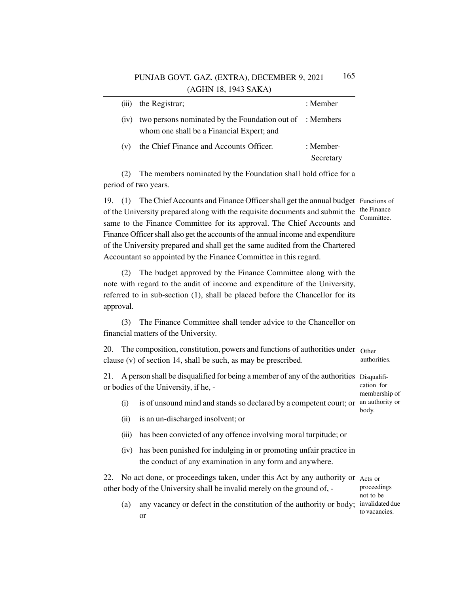|      | (iii) the Registrar;                                                                                  | : Member               |
|------|-------------------------------------------------------------------------------------------------------|------------------------|
| (1V) | two persons nominated by the Foundation out of : Members<br>whom one shall be a Financial Expert; and |                        |
| (v)  | the Chief Finance and Accounts Officer.                                                               | : Member-<br>Secretary |

(2) The members nominated by the Foundation shall hold office for a period of two years.

19. (1) The Chief Accounts and Finance Officer shall get the annual budget Functions of of the University prepared along with the requisite documents and submit the same to the Finance Committee for its approval. The Chief Accounts and Finance Officer shall also get the accounts of the annual income and expenditure of the University prepared and shall get the same audited from the Chartered Accountant so appointed by the Finance Committee in this regard. the Finance Committee.

(2) The budget approved by the Finance Committee along with the note with regard to the audit of income and expenditure of the University, referred to in sub-section (1), shall be placed before the Chancellor for its approval.

(3) The Finance Committee shall tender advice to the Chancellor on financial matters of the University.

20. The composition, constitution, powers and functions of authorities under Other clause (v) of section 14, shall be such, as may be prescribed. authorities.

21. A person shall be disqualified for being a member of any of the authorities Disqualifior bodies of the University, if he, cation for membership of

- (i) is of unsound mind and stands so declared by a competent court; or an authority or body.
- (ii) is an un-discharged insolvent; or
- (iii) has been convicted of any offence involving moral turpitude; or
- (iv) has been punished for indulging in or promoting unfair practice in the conduct of any examination in any form and anywhere.

22. No act done, or proceedings taken, under this Act by any authority or Acts or other body of the University shall be invalid merely on the ground of, -

proceedings not to be to vacancies.

(a) any vacancy or defect in the constitution of the authority or body; invalidated due or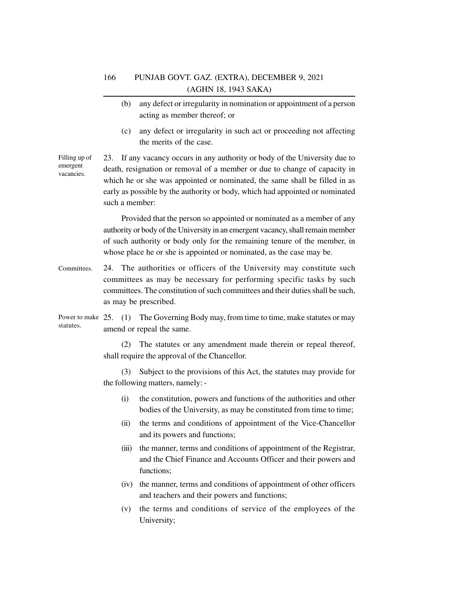- (b) any defect or irregularity in nomination or appointment of a person acting as member thereof; or
- (c) any defect or irregularity in such act or proceeding not affecting the merits of the case.

23. If any vacancy occurs in any authority or body of the University due to death, resignation or removal of a member or due to change of capacity in which he or she was appointed or nominated, the same shall be filled in as early as possible by the authority or body, which had appointed or nominated such a member: Filling up of emergent vacancies.

> Provided that the person so appointed or nominated as a member of any authority or body of the University in an emergent vacancy, shall remain member of such authority or body only for the remaining tenure of the member, in whose place he or she is appointed or nominated, as the case may be.

- 24. The authorities or officers of the University may constitute such committees as may be necessary for performing specific tasks by such committees. The constitution of such committees and their duties shall be such, as may be prescribed. Committees.
- Power to make 25. (1) The Governing Body may, from time to time, make statutes or may amend or repeal the same. statutes.

(2) The statutes or any amendment made therein or repeal thereof, shall require the approval of the Chancellor.

(3) Subject to the provisions of this Act, the statutes may provide for the following matters, namely: -

- (i) the constitution, powers and functions of the authorities and other bodies of the University, as may be constituted from time to time;
- (ii) the terms and conditions of appointment of the Vice-Chancellor and its powers and functions;
- (iii) the manner, terms and conditions of appointment of the Registrar, and the Chief Finance and Accounts Officer and their powers and functions;
- (iv) the manner, terms and conditions of appointment of other officers and teachers and their powers and functions;
- (v) the terms and conditions of service of the employees of the University;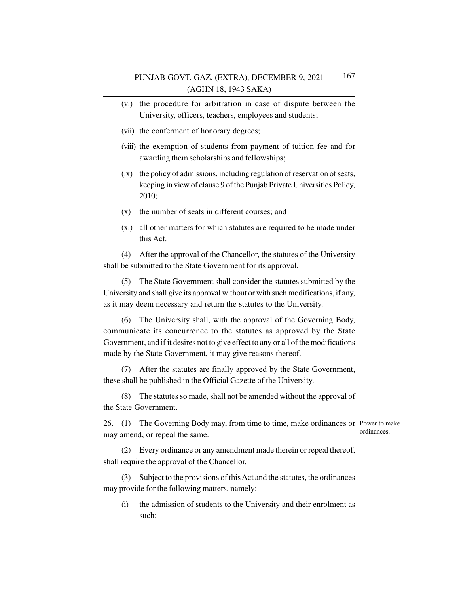- (vi) the procedure for arbitration in case of dispute between the University, officers, teachers, employees and students;
- (vii) the conferment of honorary degrees;
- (viii) the exemption of students from payment of tuition fee and for awarding them scholarships and fellowships;
- (ix) the policy of admissions, including regulation of reservation of seats, keeping in view of clause 9 of the Punjab Private Universities Policy, 2010;
- (x) the number of seats in different courses; and
- (xi) all other matters for which statutes are required to be made under this Act.

(4) After the approval of the Chancellor, the statutes of the University shall be submitted to the State Government for its approval.

(5) The State Government shall consider the statutes submitted by the University and shall give its approval without or with such modifications, if any, as it may deem necessary and return the statutes to the University.

(6) The University shall, with the approval of the Governing Body, communicate its concurrence to the statutes as approved by the State Government, and if it desires not to give effect to any or all of the modifications made by the State Government, it may give reasons thereof.

(7) After the statutes are finally approved by the State Government, these shall be published in the Official Gazette of the University.

(8) The statutes so made, shall not be amended without the approval of the State Government.

26. (1) The Governing Body may, from time to time, make ordinances or Power to make may amend, or repeal the same. ordinances.

(2) Every ordinance or any amendment made therein or repeal thereof, shall require the approval of the Chancellor.

(3) Subject to the provisions of this Act and the statutes, the ordinances may provide for the following matters, namely: -

(i) the admission of students to the University and their enrolment as such;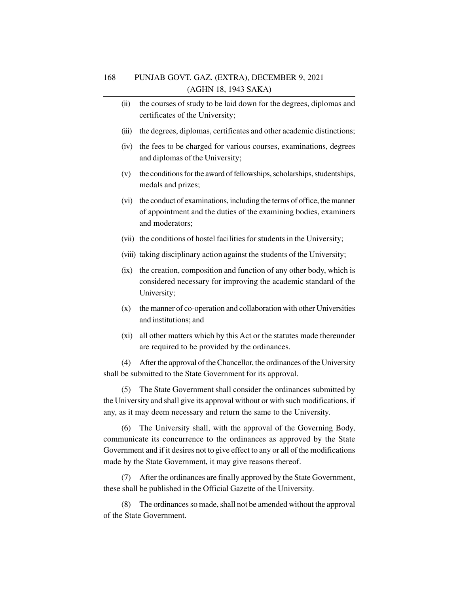- (ii) the courses of study to be laid down for the degrees, diplomas and certificates of the University;
- (iii) the degrees, diplomas, certificates and other academic distinctions;
- (iv) the fees to be charged for various courses, examinations, degrees and diplomas of the University;
- (v) the conditions for the award of fellowships, scholarships, studentships, medals and prizes;
- (vi) the conduct of examinations, including the terms of office, the manner of appointment and the duties of the examining bodies, examiners and moderators;
- (vii) the conditions of hostel facilities for students in the University;
- (viii) taking disciplinary action against the students of the University;
- (ix) the creation, composition and function of any other body, which is considered necessary for improving the academic standard of the University;
- (x) the manner of co-operation and collaboration with other Universities and institutions; and
- (xi) all other matters which by this Act or the statutes made thereunder are required to be provided by the ordinances.

(4) After the approval of the Chancellor, the ordinances of the University shall be submitted to the State Government for its approval.

(5) The State Government shall consider the ordinances submitted by the University and shall give its approval without or with such modifications, if any, as it may deem necessary and return the same to the University.

(6) The University shall, with the approval of the Governing Body, communicate its concurrence to the ordinances as approved by the State Government and if it desires not to give effect to any or all of the modifications made by the State Government, it may give reasons thereof.

(7) After the ordinances are finally approved by the State Government, these shall be published in the Official Gazette of the University.

(8) The ordinances so made, shall not be amended without the approval of the State Government.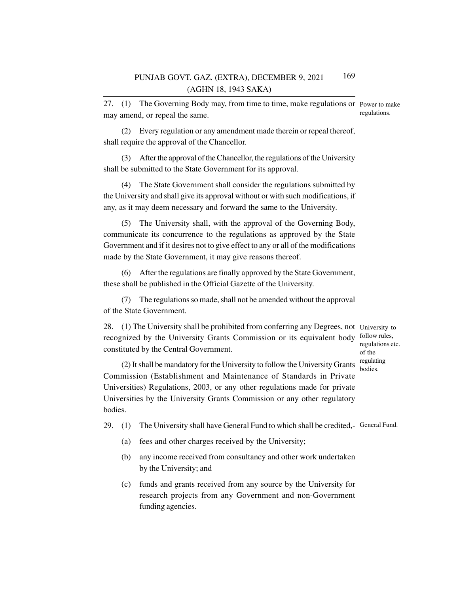27. (1) The Governing Body may, from time to time, make regulations or Power to make may amend, or repeal the same. regulations.

(2) Every regulation or any amendment made therein or repeal thereof, shall require the approval of the Chancellor.

(3) After the approval of the Chancellor, the regulations of the University shall be submitted to the State Government for its approval.

(4) The State Government shall consider the regulations submitted by the University and shall give its approval without or with such modifications, if any, as it may deem necessary and forward the same to the University.

(5) The University shall, with the approval of the Governing Body, communicate its concurrence to the regulations as approved by the State Government and if it desires not to give effect to any or all of the modifications made by the State Government, it may give reasons thereof.

(6) After the regulations are finally approved by the State Government, these shall be published in the Official Gazette of the University.

(7) The regulations so made, shall not be amended without the approval of the State Government.

28. (1) The University shall be prohibited from conferring any Degrees, not University to recognized by the University Grants Commission or its equivalent body follow rules, constituted by the Central Government.

regulations etc. of the regulating bodies.

(2) It shall be mandatory for the University to follow the University Grants Commission (Establishment and Maintenance of Standards in Private Universities) Regulations, 2003, or any other regulations made for private Universities by the University Grants Commission or any other regulatory bodies.

29. (1) The University shall have General Fund to which shall be credited, General Fund.

- (a) fees and other charges received by the University;
- (b) any income received from consultancy and other work undertaken by the University; and
- (c) funds and grants received from any source by the University for research projects from any Government and non-Government funding agencies.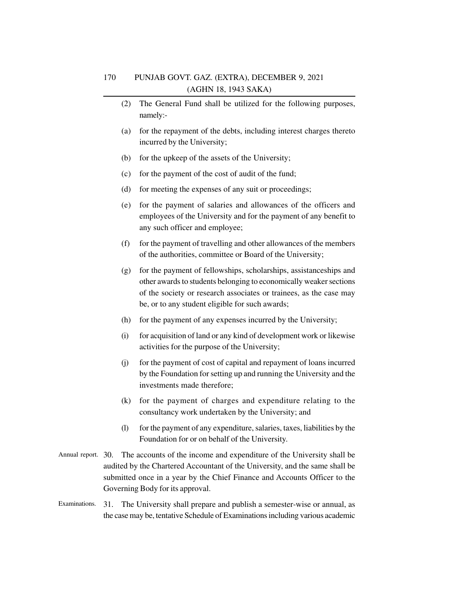- (2) The General Fund shall be utilized for the following purposes, namely:-
- (a) for the repayment of the debts, including interest charges thereto incurred by the University;
- (b) for the upkeep of the assets of the University;
- (c) for the payment of the cost of audit of the fund;
- (d) for meeting the expenses of any suit or proceedings;
- (e) for the payment of salaries and allowances of the officers and employees of the University and for the payment of any benefit to any such officer and employee;
- (f) for the payment of travelling and other allowances of the members of the authorities, committee or Board of the University;
- (g) for the payment of fellowships, scholarships, assistanceships and other awards to students belonging to economically weaker sections of the society or research associates or trainees, as the case may be, or to any student eligible for such awards;
- (h) for the payment of any expenses incurred by the University;
- (i) for acquisition of land or any kind of development work or likewise activities for the purpose of the University;
- (j) for the payment of cost of capital and repayment of loans incurred by the Foundation for setting up and running the University and the investments made therefore;
- (k) for the payment of charges and expenditure relating to the consultancy work undertaken by the University; and
- (l) for the payment of any expenditure, salaries, taxes, liabilities by the Foundation for or on behalf of the University.
- Annual report. 30. The accounts of the income and expenditure of the University shall be audited by the Chartered Accountant of the University, and the same shall be submitted once in a year by the Chief Finance and Accounts Officer to the Governing Body for its approval.
- 31. The University shall prepare and publish a semester-wise or annual, as the case may be, tentative Schedule of Examinations including various academic Examinations.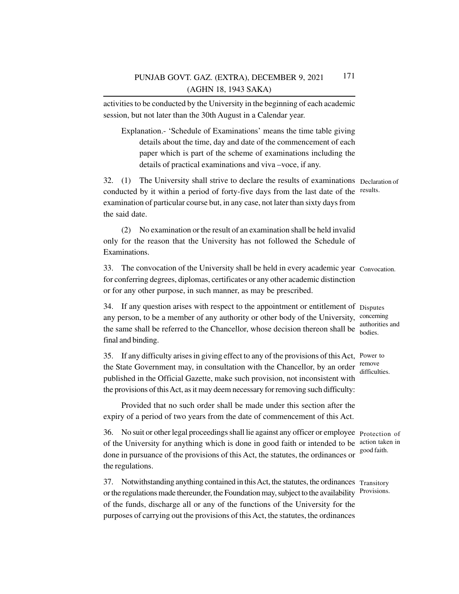activities to be conducted by the University in the beginning of each academic session, but not later than the 30th August in a Calendar year.

Explanation.- 'Schedule of Examinations' means the time table giving details about the time, day and date of the commencement of each paper which is part of the scheme of examinations including the details of practical examinations and viva –voce, if any.

32. (1) The University shall strive to declare the results of examinations Declaration of conducted by it within a period of forty-five days from the last date of the results. examination of particular course but, in any case, not later than sixty days from the said date.

(2) No examination or the result of an examination shall be held invalid only for the reason that the University has not followed the Schedule of Examinations.

33. The convocation of the University shall be held in every academic year Convocation.for conferring degrees, diplomas, certificates or any other academic distinction or for any other purpose, in such manner, as may be prescribed.

34. If any question arises with respect to the appointment or entitlement of Disputes any person, to be a member of any authority or other body of the University, concerning the same shall be referred to the Chancellor, whose decision thereon shall be bodies. final and binding.

35. If any difficulty arises in giving effect to any of the provisions of this Act, Power to the State Government may, in consultation with the Chancellor, by an order  $\frac{\text{remove}}{\text{after}}$ published in the Official Gazette, make such provision, not inconsistent with the provisions of this Act, as it may deem necessary for removing such difficulty: difficulties.

Provided that no such order shall be made under this section after the expiry of a period of two years from the date of commencement of this Act.

36. No suit or other legal proceedings shall lie against any officer or employee Protection of of the University for anything which is done in good faith or intended to be action taken in done in pursuance of the provisions of this Act, the statutes, the ordinances or the regulations.

37. Notwithstanding anything contained in this Act, the statutes, the ordinances Transitory or the regulations made thereunder, the Foundation may, subject to the availability Provisions. of the funds, discharge all or any of the functions of the University for the purposes of carrying out the provisions of this Act, the statutes, the ordinances

authorities and

good faith.